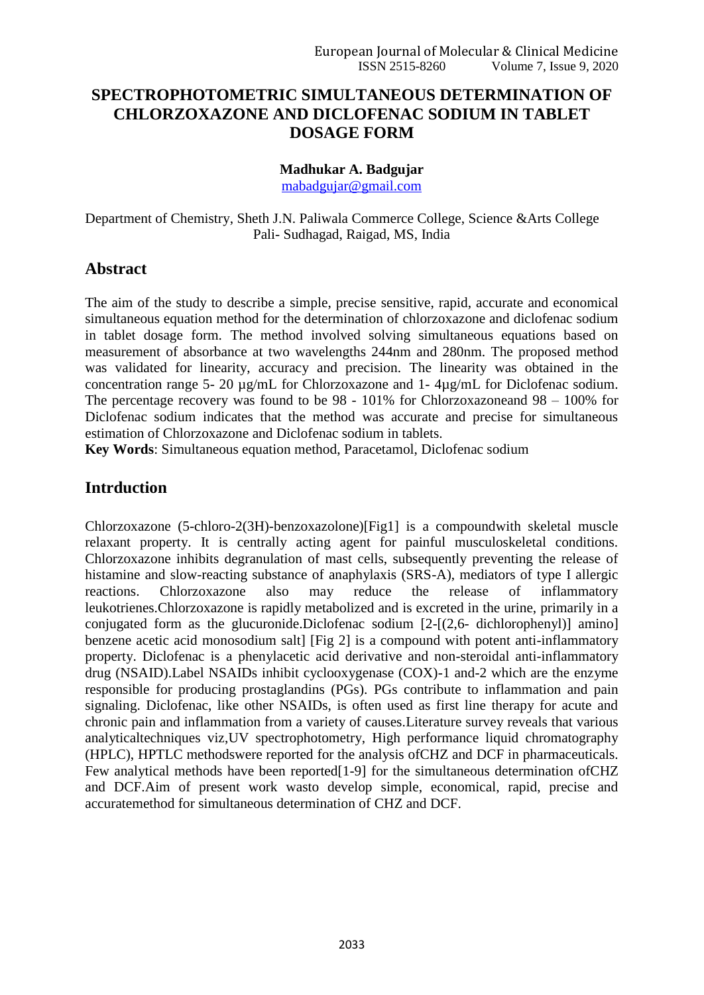# **SPECTROPHOTOMETRIC SIMULTANEOUS DETERMINATION OF CHLORZOXAZONE AND DICLOFENAC SODIUM IN TABLET DOSAGE FORM**

#### **Madhukar A. Badgujar**

[mabadgujar@gmail.com](mailto:mabadgujar@gmail.com)

Department of Chemistry, Sheth J.N. Paliwala Commerce College, Science &Arts College Pali- Sudhagad, Raigad, MS, India

# **Abstract**

The aim of the study to describe a simple, precise sensitive, rapid, accurate and economical simultaneous equation method for the determination of chlorzoxazone and diclofenac sodium in tablet dosage form. The method involved solving simultaneous equations based on measurement of absorbance at two wavelengths 244nm and 280nm. The proposed method was validated for linearity, accuracy and precision. The linearity was obtained in the concentration range 5- 20 µg/mL for Chlorzoxazone and 1- 4µg/mL for Diclofenac sodium. The percentage recovery was found to be 98 - 101% for Chlorzoxazoneand 98 – 100% for Diclofenac sodium indicates that the method was accurate and precise for simultaneous estimation of Chlorzoxazone and Diclofenac sodium in tablets.

**Key Words**: Simultaneous equation method, Paracetamol, Diclofenac sodium

# **Intrduction**

Chlorzoxazone (5-chloro-2(3H)-benzoxazolone)[Fig1] is a compoundwith skeletal muscle relaxant property. It is centrally acting agent for painful musculoskeletal conditions. Chlorzoxazone inhibits degranulation of mast cells, subsequently preventing the release of histamine and slow-reacting substance of anaphylaxis (SRS-A), mediators of type I allergic reactions. Chlorzoxazone also may reduce the release of inflammatory leukotrienes.Chlorzoxazone is rapidly metabolized and is excreted in the urine, primarily in a conjugated form as the glucuronide.Diclofenac sodium [2-[(2,6- dichlorophenyl)] amino] benzene acetic acid monosodium salt] [Fig 2] is a compound with potent anti-inflammatory property. Diclofenac is a phenylacetic acid derivative and non-steroidal anti-inflammatory drug (NSAID).Label NSAIDs inhibit cyclooxygenase (COX)-1 and-2 which are the enzyme responsible for producing prostaglandins (PGs). PGs contribute to inflammation and pain signaling. Diclofenac, like other NSAIDs, is often used as first line therapy for acute and chronic pain and inflammation from a variety of causes.Literature survey reveals that various analyticaltechniques viz,UV spectrophotometry, High performance liquid chromatography (HPLC), HPTLC methodswere reported for the analysis ofCHZ and DCF in pharmaceuticals. Few analytical methods have been reported<sup>[1-9]</sup> for the simultaneous determination ofCHZ and DCF.Aim of present work wasto develop simple, economical, rapid, precise and accuratemethod for simultaneous determination of CHZ and DCF.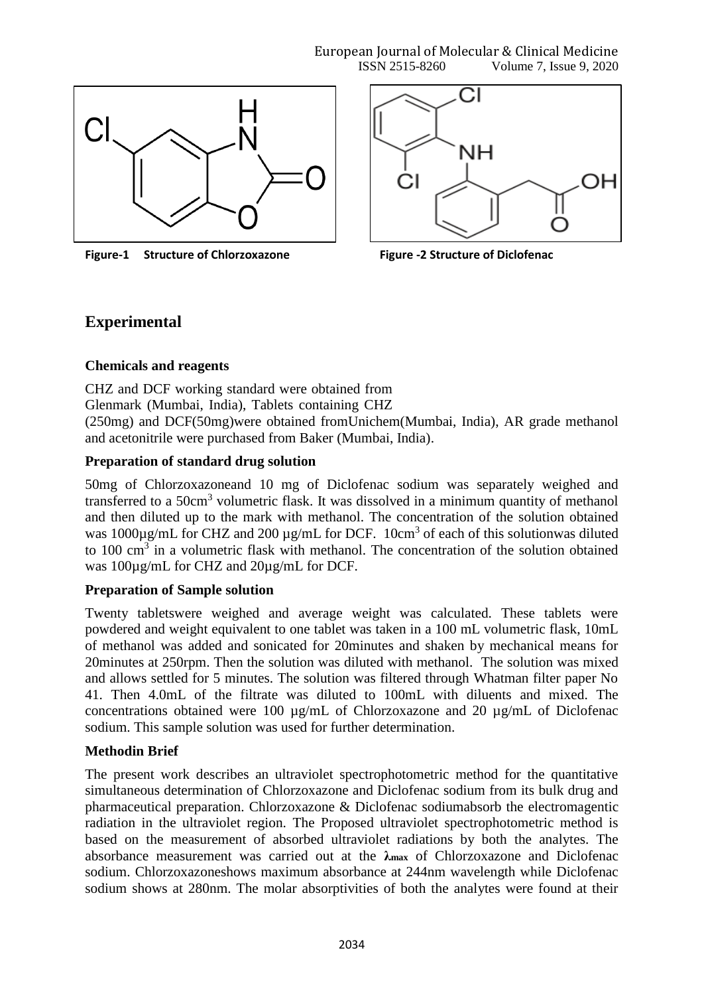

**Figure-1 Structure of Chlorzoxazone Figure -2 Structure of Diclofenac** 



# **Experimental**

#### **Chemicals and reagents**

CHZ and DCF working standard were obtained from

Glenmark (Mumbai, India), Tablets containing CHZ

(250mg) and DCF(50mg)were obtained fromUnichem(Mumbai, India), AR grade methanol and acetonitrile were purchased from Baker (Mumbai, India).

# **Preparation of standard drug solution**

50mg of Chlorzoxazoneand 10 mg of Diclofenac sodium was separately weighed and transferred to a 50cm<sup>3</sup> volumetric flask. It was dissolved in a minimum quantity of methanol and then diluted up to the mark with methanol. The concentration of the solution obtained was  $1000\mu\text{g/mL}$  for CHZ and  $200\mu\text{g/mL}$  for DCF. 10cm<sup>3</sup> of each of this solutionwas diluted to  $100 \text{ cm}^3$  in a volumetric flask with methanol. The concentration of the solution obtained was 100µg/mL for CHZ and 20µg/mL for DCF.

# **Preparation of Sample solution**

Twenty tabletswere weighed and average weight was calculated. These tablets were powdered and weight equivalent to one tablet was taken in a 100 mL volumetric flask, 10mL of methanol was added and sonicated for 20minutes and shaken by mechanical means for 20minutes at 250rpm. Then the solution was diluted with methanol. The solution was mixed and allows settled for 5 minutes. The solution was filtered through Whatman filter paper No 41. Then 4.0mL of the filtrate was diluted to 100mL with diluents and mixed. The concentrations obtained were 100 µg/mL of Chlorzoxazone and 20 µg/mL of Diclofenac sodium. This sample solution was used for further determination.

# **Methodin Brief**

The present work describes an ultraviolet spectrophotometric method for the quantitative simultaneous determination of Chlorzoxazone and Diclofenac sodium from its bulk drug and pharmaceutical preparation. Chlorzoxazone & Diclofenac sodiumabsorb the electromagentic radiation in the ultraviolet region. The Proposed ultraviolet spectrophotometric method is based on the measurement of absorbed ultraviolet radiations by both the analytes. The absorbance measurement was carried out at the **λmax** of Chlorzoxazone and Diclofenac sodium. Chlorzoxazoneshows maximum absorbance at 244nm wavelength while Diclofenac sodium shows at 280nm. The molar absorptivities of both the analytes were found at their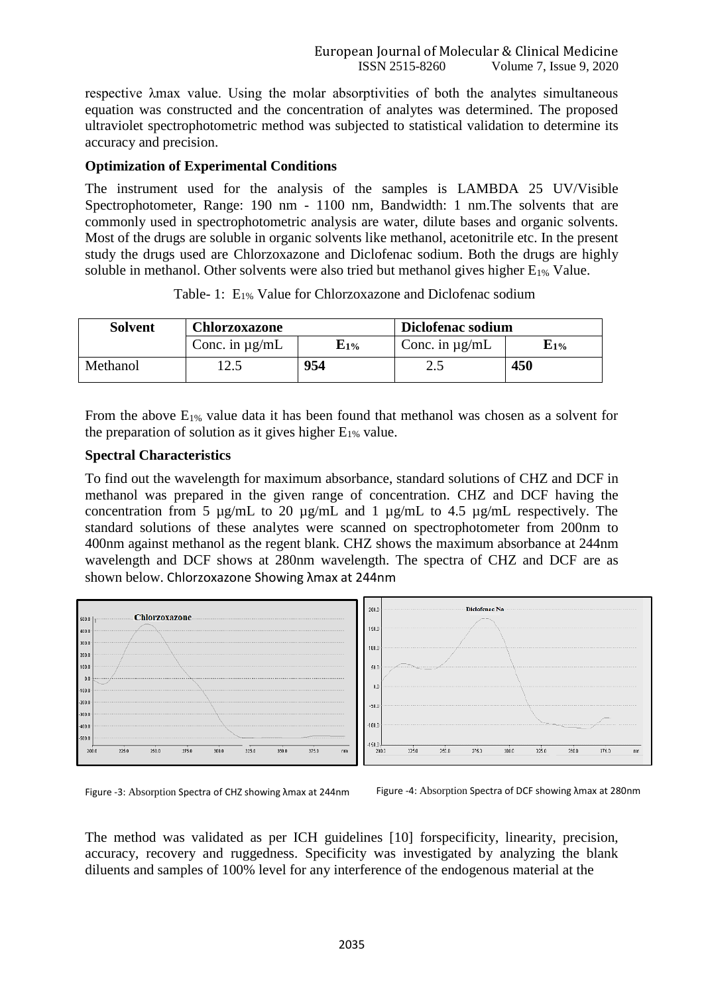respective λmax value. Using the molar absorptivities of both the analytes simultaneous equation was constructed and the concentration of analytes was determined. The proposed ultraviolet spectrophotometric method was subjected to statistical validation to determine its accuracy and precision.

#### **Optimization of Experimental Conditions**

The instrument used for the analysis of the samples is LAMBDA 25 UV/Visible Spectrophotometer, Range: 190 nm - 1100 nm, Bandwidth: 1 nm.The solvents that are commonly used in spectrophotometric analysis are water, dilute bases and organic solvents. Most of the drugs are soluble in organic solvents like methanol, acetonitrile etc. In the present study the drugs used are Chlorzoxazone and Diclofenac sodium. Both the drugs are highly soluble in methanol. Other solvents were also tried but methanol gives higher  $E_{1\%}$  Value.

| <b>Solvent</b> | Chlorzoxazone       |                 | Diclofenac sodium   |           |  |
|----------------|---------------------|-----------------|---------------------|-----------|--|
|                | Conc. in $\mu$ g/mL | ${\bf E}_{1\%}$ | Conc. in $\mu$ g/mL | $E_{1\%}$ |  |
| Methanol       |                     | 954             | ل و ک               | 450       |  |

Table- 1: E1% Value for Chlorzoxazone and Diclofenac sodium

From the above  $E_{1\%}$  value data it has been found that methanol was chosen as a solvent for the preparation of solution as it gives higher  $E_{1\%}$  value.

#### **Spectral Characteristics**

To find out the wavelength for maximum absorbance, standard solutions of CHZ and DCF in methanol was prepared in the given range of concentration. CHZ and DCF having the concentration from 5 µg/mL to 20 µg/mL and 1 µg/mL to 4.5 µg/mL respectively. The standard solutions of these analytes were scanned on spectrophotometer from 200nm to 400nm against methanol as the regent blank. CHZ shows the maximum absorbance at 244nm wavelength and DCF shows at 280nm wavelength. The spectra of CHZ and DCF are as shown below. Chlorzoxazone Showing λmax at 244nm



Figure -3: Absorption Spectra of CHZ showing λmax at 244nm Figure -4: Absorption Spectra of DCF showing λmax at 280nm

The method was validated as per ICH guidelines [10] forspecificity, linearity, precision, accuracy, recovery and ruggedness. Specificity was investigated by analyzing the blank diluents and samples of 100% level for any interference of the endogenous material at the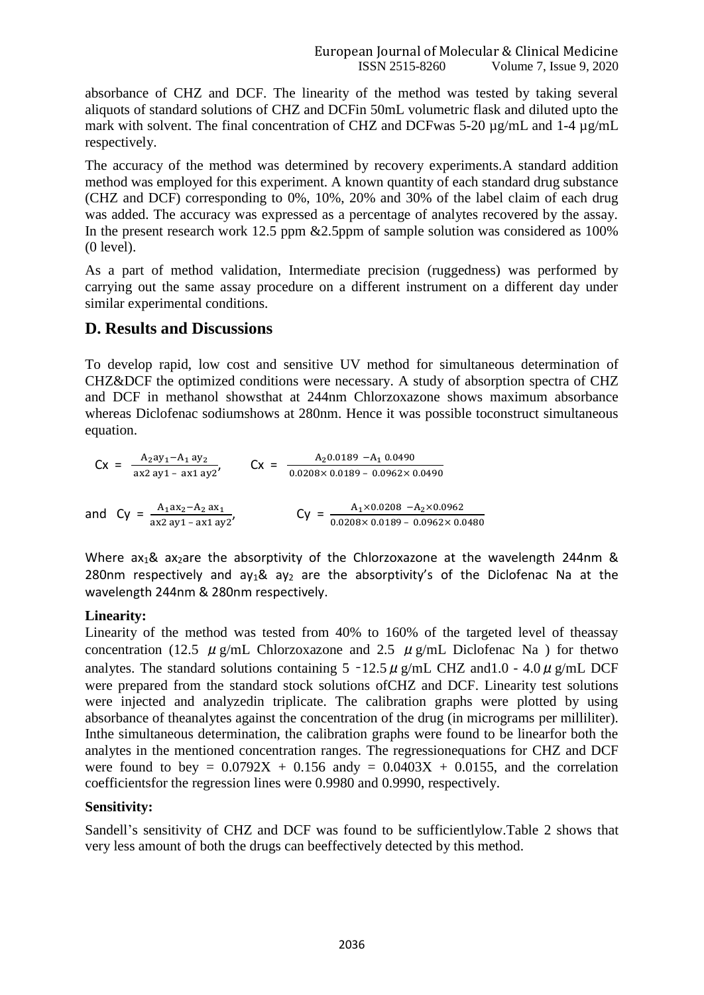absorbance of CHZ and DCF. The linearity of the method was tested by taking several aliquots of standard solutions of CHZ and DCFin 50mL volumetric flask and diluted upto the mark with solvent. The final concentration of CHZ and DCFwas 5-20 µg/mL and 1-4 µg/mL respectively.

The accuracy of the method was determined by recovery experiments.A standard addition method was employed for this experiment. A known quantity of each standard drug substance (CHZ and DCF) corresponding to 0%, 10%, 20% and 30% of the label claim of each drug was added. The accuracy was expressed as a percentage of analytes recovered by the assay. In the present research work 12.5 ppm & 2.5ppm of sample solution was considered as 100% (0 level).

As a part of method validation, Intermediate precision (ruggedness) was performed by carrying out the same assay procedure on a different instrument on a different day under similar experimental conditions.

# **D. Results and Discussions**

wavelength 244nm & 280nm respectively.

To develop rapid, low cost and sensitive UV method for simultaneous determination of CHZ&DCF the optimized conditions were necessary. A study of absorption spectra of CHZ and DCF in methanol showsthat at 244nm Chlorzoxazone shows maximum absorbance whereas Diclofenac sodiumshows at 280nm. Hence it was possible toconstruct simultaneous equation.

| $A_2ay_1 - A_1ay_2$<br>$\Gamma x =$ | $Cx =$ | $A_2$ 0.0189 - $A_1$ 0.0490                            |  |  |
|-------------------------------------|--------|--------------------------------------------------------|--|--|
| $ax2 ay1 - ax1 ay2'$                |        | $0.0208 \times 0.0189 - 0.0962 \times 0.0490$          |  |  |
|                                     |        |                                                        |  |  |
| $\Delta$ . $av - \Delta$ . $av$ .   |        | $\Delta$ , $\times$ 0.0208 $ \Delta$ , $\times$ 0.0962 |  |  |

and Cy =  $\frac{A_1ax_2 - A_2ax_1}{ax2 ay_1 - ax1 ay_2'}$   $C_y = \frac{A_1 \times 0.0208 - A_2 \times 0.0962}{0.0208 \times 0.0189 - 0.0962 \times 0.0480}$ Where ax<sub>1</sub>& ax<sub>2</sub>are the absorptivity of the Chlorzoxazone at the wavelength 244nm &

# **Linearity:**

Linearity of the method was tested from 40% to 160% of the targeted level of theassay concentration (12.5  $\mu$  g/mL Chlorzoxazone and 2.5  $\mu$  g/mL Diclofenac Na ) for thetwo analytes. The standard solutions containing  $5 -12.5 \mu$  g/mL CHZ and 1.0 - 4.0  $\mu$  g/mL DCF were prepared from the standard stock solutions ofCHZ and DCF. Linearity test solutions were injected and analyzedin triplicate. The calibration graphs were plotted by using absorbance of theanalytes against the concentration of the drug (in micrograms per milliliter). Inthe simultaneous determination, the calibration graphs were found to be linearfor both the analytes in the mentioned concentration ranges. The regressionequations for CHZ and DCF were found to bey =  $0.0792X + 0.156$  andy =  $0.0403X + 0.0155$ , and the correlation coefficientsfor the regression lines were 0.9980 and 0.9990, respectively.

280nm respectively and ay<sub>1</sub>& ay<sub>2</sub> are the absorptivity's of the Diclofenac Na at the

# **Sensitivity:**

Sandell's sensitivity of CHZ and DCF was found to be sufficientlylow.Table 2 shows that very less amount of both the drugs can beeffectively detected by this method.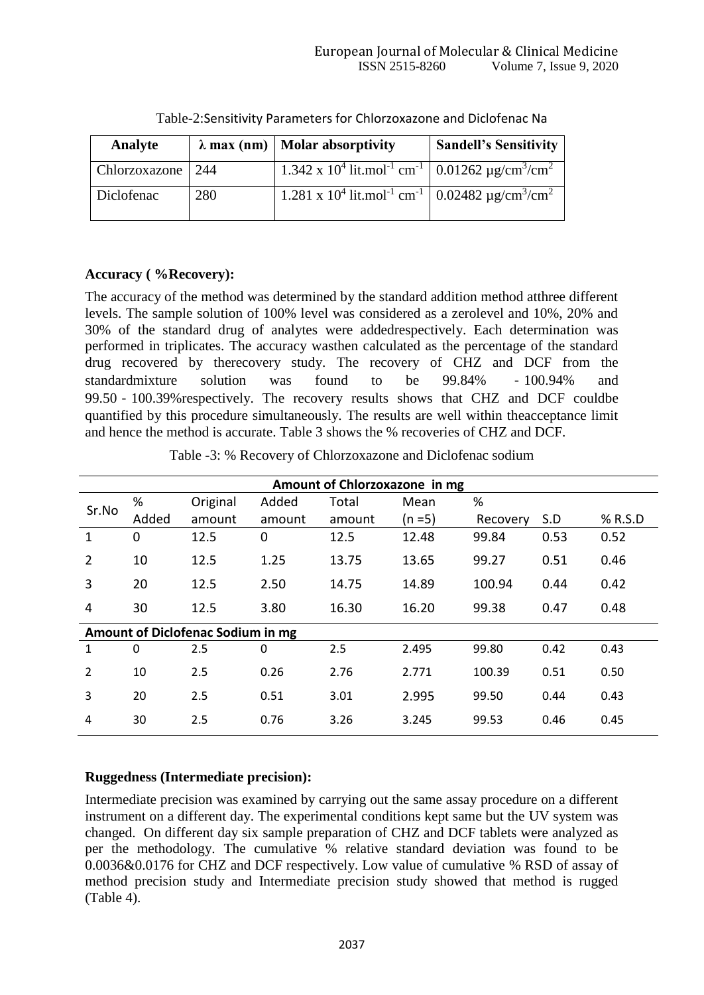| Analyte             |     | $\lambda$ max (nm)   Molar absorptivity                                                                      | <b>Sandell's Sensitivity</b> |
|---------------------|-----|--------------------------------------------------------------------------------------------------------------|------------------------------|
| Chlorzoxazone   244 |     | $1.342 \times 10^4$ lit.mol <sup>-1</sup> cm <sup>-1</sup> 0.01262 µg/cm <sup>3</sup> /cm <sup>2</sup>       |                              |
| Diclofenac          | 280 | 1.281 x 10 <sup>4</sup> lit.mol <sup>-1</sup> cm <sup>-1</sup>   0.02482 µg/cm <sup>3</sup> /cm <sup>2</sup> |                              |

Table-2:Sensitivity Parameters for Chlorzoxazone and Diclofenac Na

# **Accuracy ( %Recovery):**

The accuracy of the method was determined by the standard addition method atthree different levels. The sample solution of 100% level was considered as a zerolevel and 10%, 20% and 30% of the standard drug of analytes were addedrespectively. Each determination was performed in triplicates. The accuracy wasthen calculated as the percentage of the standard drug recovered by therecovery study. The recovery of CHZ and DCF from the standardmixture solution was found to be 99.84% ‐100.94% and 99.50 - 100.39% respectively. The recovery results shows that CHZ and DCF couldbe quantified by this procedure simultaneously. The results are well within theacceptance limit and hence the method is accurate. Table 3 shows the % recoveries of CHZ and DCF.

Table -3: % Recovery of Chlorzoxazone and Diclofenac sodium

| Amount of Chlorzoxazone in mg     |             |          |        |        |           |          |      |         |
|-----------------------------------|-------------|----------|--------|--------|-----------|----------|------|---------|
| %<br>Sr.No<br>Added               |             | Original | Added  | Total  | Mean      | %        |      |         |
|                                   |             | amount   | amount | amount | $(n = 5)$ | Recovery | S.D  | % R.S.D |
| $\mathbf{1}$                      | $\mathbf 0$ | 12.5     | 0      | 12.5   | 12.48     | 99.84    | 0.53 | 0.52    |
| $\overline{2}$                    | 10          | 12.5     | 1.25   | 13.75  | 13.65     | 99.27    | 0.51 | 0.46    |
| 3                                 | 20          | 12.5     | 2.50   | 14.75  | 14.89     | 100.94   | 0.44 | 0.42    |
| 4                                 | 30          | 12.5     | 3.80   | 16.30  | 16.20     | 99.38    | 0.47 | 0.48    |
| Amount of Diclofenac Sodium in mg |             |          |        |        |           |          |      |         |
| $\mathbf{1}$                      | $\Omega$    | 2.5      | 0      | 2.5    | 2.495     | 99.80    | 0.42 | 0.43    |
| $\overline{2}$                    | 10          | 2.5      | 0.26   | 2.76   | 2.771     | 100.39   | 0.51 | 0.50    |
| 3                                 | 20          | 2.5      | 0.51   | 3.01   | 2.995     | 99.50    | 0.44 | 0.43    |
| 4                                 | 30          | 2.5      | 0.76   | 3.26   | 3.245     | 99.53    | 0.46 | 0.45    |

# **Ruggedness (Intermediate precision):**

Intermediate precision was examined by carrying out the same assay procedure on a different instrument on a different day. The experimental conditions kept same but the UV system was changed. On different day six sample preparation of CHZ and DCF tablets were analyzed as per the methodology. The cumulative % relative standard deviation was found to be 0.0036&0.0176 for CHZ and DCF respectively. Low value of cumulative % RSD of assay of method precision study and Intermediate precision study showed that method is rugged (Table 4).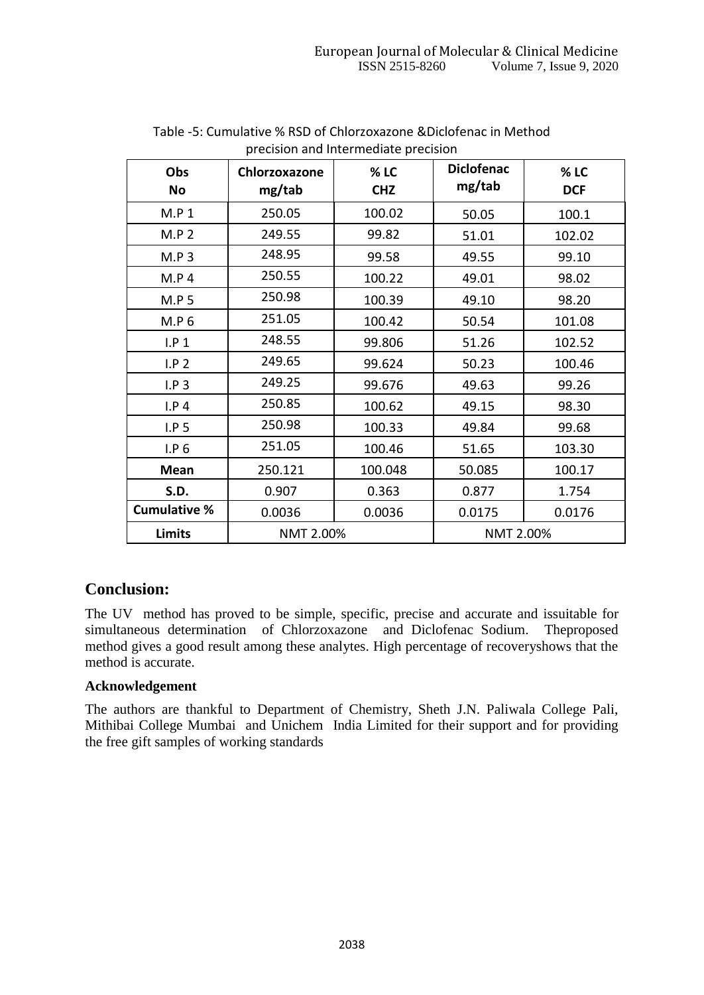| precision and intermediate precision |               |                        |                   |            |  |  |
|--------------------------------------|---------------|------------------------|-------------------|------------|--|--|
| Obs                                  | Chlorzoxazone | $%$ LC                 | <b>Diclofenac</b> | % LC       |  |  |
| No                                   | mg/tab        | <b>CHZ</b>             | mg/tab            | <b>DCF</b> |  |  |
| M.P 1                                | 250.05        | 100.02                 | 50.05             | 100.1      |  |  |
| M.P.2                                | 249.55        | 99.82                  | 51.01             | 102.02     |  |  |
| M.P.3                                | 248.95        | 99.58                  | 49.55             | 99.10      |  |  |
| M.P.4                                | 250.55        | 100.22                 | 49.01             | 98.02      |  |  |
| M.P.5                                | 250.98        | 100.39                 | 49.10             | 98.20      |  |  |
| M.P.6                                | 251.05        | 100.42                 | 50.54             | 101.08     |  |  |
| I.P 1                                | 248.55        | 99.806                 | 51.26             | 102.52     |  |  |
| I.P.2                                | 249.65        | 99.624                 | 50.23             | 100.46     |  |  |
| I.P.3                                | 249.25        | 99.676                 | 49.63             | 99.26      |  |  |
| I.P.4                                | 250.85        | 100.62                 | 49.15             | 98.30      |  |  |
| I.P.5                                | 250.98        | 100.33                 | 49.84             | 99.68      |  |  |
| I.P.6                                | 251.05        | 100.46                 | 51.65             | 103.30     |  |  |
| <b>Mean</b>                          | 250.121       | 100.048                | 50.085            | 100.17     |  |  |
| <b>S.D.</b>                          | 0.907         | 0.363                  | 0.877             | 1.754      |  |  |
| <b>Cumulative %</b>                  | 0.0036        | 0.0036                 | 0.0175            | 0.0176     |  |  |
| <b>Limits</b>                        |               | NMT 2.00%<br>NMT 2.00% |                   |            |  |  |

#### Table -5: Cumulative % RSD of Chlorzoxazone &Diclofenac in Method precision and Intermediate precision

# **Conclusion:**

The UV method has proved to be simple, specific, precise and accurate and issuitable for simultaneous determination of Chlorzoxazone and Diclofenac Sodium. Theproposed method gives a good result among these analytes. High percentage of recoveryshows that the method is accurate.

# **Acknowledgement**

The authors are thankful to Department of Chemistry, Sheth J.N. Paliwala College Pali, Mithibai College Mumbai and Unichem India Limited for their support and for providing the free gift samples of working standards